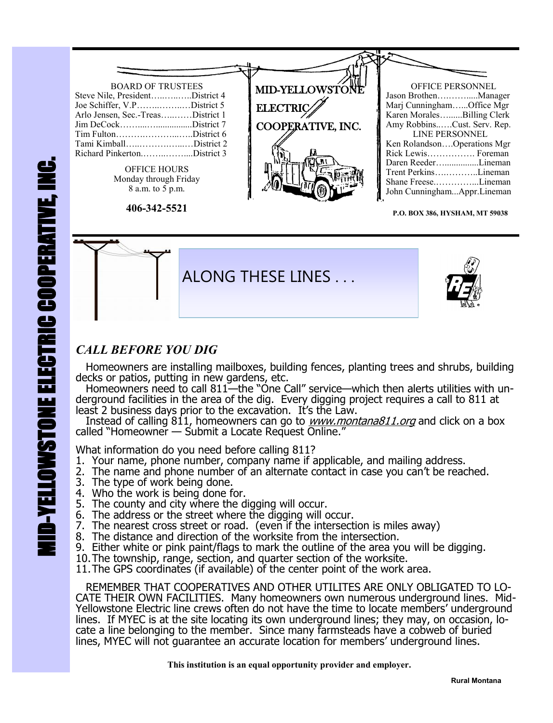

**P.O. BOX 386, HYSHAM, MT 59038**



### *CALL BEFORE YOU DIG*

 Homeowners are installing mailboxes, building fences, planting trees and shrubs, building decks or patios, putting in new gardens, etc.

Homeowners need to call 811—the "One Call" service—which then alerts utilities with underground facilities in the area of the dig. Every digging project requires a call to 811 at least 2 business days prior to the excavation. It's the Law.

Instead of calling 811, homeowners can go to *www.montana811.org* and click on a box called "Homeowner — Submit a Locate Request Online."

What information do you need before calling 811?

- 1. Your name, phone number, company name if applicable, and mailing address.
- 2. The name and phone number of an alternate contact in case you can't be reached.
- 3. The type of work being done.
- 4. Who the work is being done for.
- 5. The county and city where the digging will occur.
- 6. The address or the street where the digging will occur.
- 7. The nearest cross street or road. (even if the intersection is miles away)
- 8. The distance and direction of the worksite from the intersection.
- 9. Either white or pink paint/flags to mark the outline of the area you will be digging.
- 10.The township, range, section, and quarter section of the worksite.

11.The GPS coordinates (if available) of the center point of the work area.

 REMEMBER THAT COOPERATIVES AND OTHER UTILITES ARE ONLY OBLIGATED TO LO-CATE THEIR OWN FACILITIES. Many homeowners own numerous underground lines. Mid-Yellowstone Electric line crews often do not have the time to locate members' underground lines. If MYEC is at the site locating its own underground lines; they may, on occasion, locate a line belonging to the member. Since many farmsteads have a cobweb of buried lines, MYEC will not guarantee an accurate location for members' underground lines.

 **This institution is an equal opportunity provider and employer.**